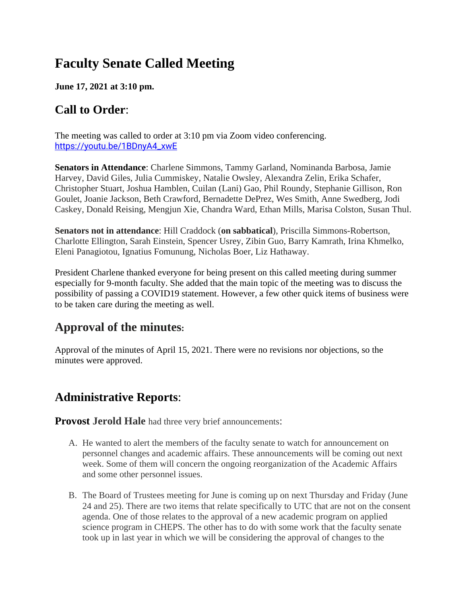# **Faculty Senate Called Meeting**

**June 17, 2021 at 3:10 pm.**

# **Call to Order**:

The meeting was called to order at 3:10 pm via Zoom video conferencing. [https://youtu.be/1BDnyA4\\_xwE](https://youtu.be/1BDnyA4_xwE)

**Senators in Attendance**: Charlene Simmons, Tammy Garland, Nominanda Barbosa, Jamie Harvey, David Giles, Julia Cummiskey, Natalie Owsley, Alexandra Zelin, Erika Schafer, Christopher Stuart, Joshua Hamblen, Cuilan (Lani) Gao, Phil Roundy, Stephanie Gillison, Ron Goulet, Joanie Jackson, Beth Crawford, Bernadette DePrez, Wes Smith, Anne Swedberg, Jodi Caskey, Donald Reising, Mengjun Xie, Chandra Ward, Ethan Mills, Marisa Colston, Susan Thul.

**Senators not in attendance**: Hill Craddock (**on sabbatical**), Priscilla Simmons-Robertson, Charlotte Ellington, Sarah Einstein, Spencer Usrey, Zibin Guo, Barry Kamrath, Irina Khmelko, Eleni Panagiotou, Ignatius Fomunung, Nicholas Boer, Liz Hathaway.

President Charlene thanked everyone for being present on this called meeting during summer especially for 9-month faculty. She added that the main topic of the meeting was to discuss the possibility of passing a COVID19 statement. However, a few other quick items of business were to be taken care during the meeting as well.

## **Approval of the minutes:**

Approval of the minutes of April 15, 2021. There were no revisions nor objections, so the minutes were approved.

## **Administrative Reports**:

**Provost Jerold Hale** had three very brief announcements:

- A. He wanted to alert the members of the faculty senate to watch for announcement on personnel changes and academic affairs. These announcements will be coming out next week. Some of them will concern the ongoing reorganization of the Academic Affairs and some other personnel issues.
- B. The Board of Trustees meeting for June is coming up on next Thursday and Friday (June 24 and 25). There are two items that relate specifically to UTC that are not on the consent agenda. One of those relates to the approval of a new academic program on applied science program in CHEPS. The other has to do with some work that the faculty senate took up in last year in which we will be considering the approval of changes to the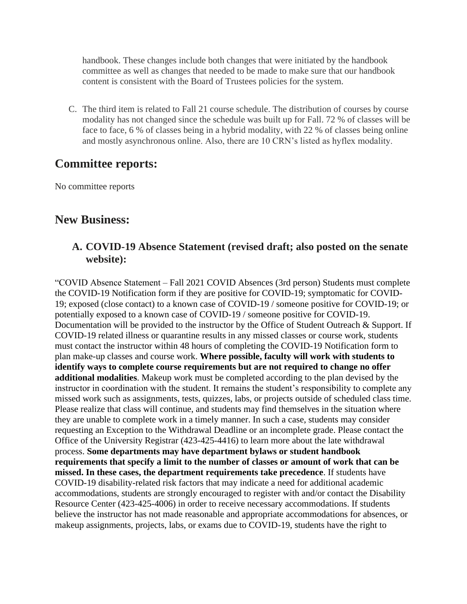handbook. These changes include both changes that were initiated by the handbook committee as well as changes that needed to be made to make sure that our handbook content is consistent with the Board of Trustees policies for the system.

C. The third item is related to Fall 21 course schedule. The distribution of courses by course modality has not changed since the schedule was built up for Fall. 72 % of classes will be face to face, 6 % of classes being in a hybrid modality, with 22 % of classes being online and mostly asynchronous online. Also, there are 10 CRN's listed as hyflex modality.

### **Committee reports:**

No committee reports

### **New Business:**

#### **A. COVID-19 Absence Statement (revised draft; also posted on the senate website):**

"COVID Absence Statement – Fall 2021 COVID Absences (3rd person) Students must complete the COVID-19 Notification form if they are positive for COVID-19; symptomatic for COVID-19; exposed (close contact) to a known case of COVID-19 / someone positive for COVID-19; or potentially exposed to a known case of COVID-19 / someone positive for COVID-19. Documentation will be provided to the instructor by the Office of Student Outreach & Support. If COVID-19 related illness or quarantine results in any missed classes or course work, students must contact the instructor within 48 hours of completing the COVID-19 Notification form to plan make-up classes and course work. **Where possible, faculty will work with students to identify ways to complete course requirements but are not required to change no offer additional modalities**. Makeup work must be completed according to the plan devised by the instructor in coordination with the student. It remains the student's responsibility to complete any missed work such as assignments, tests, quizzes, labs, or projects outside of scheduled class time. Please realize that class will continue, and students may find themselves in the situation where they are unable to complete work in a timely manner. In such a case, students may consider requesting an Exception to the Withdrawal Deadline or an incomplete grade. Please contact the Office of the University Registrar (423-425-4416) to learn more about the late withdrawal process. **Some departments may have department bylaws or student handbook requirements that specify a limit to the number of classes or amount of work that can be missed. In these cases, the department requirements take precedence**. If students have COVID-19 disability-related risk factors that may indicate a need for additional academic accommodations, students are strongly encouraged to register with and/or contact the Disability Resource Center (423-425-4006) in order to receive necessary accommodations. If students believe the instructor has not made reasonable and appropriate accommodations for absences, or makeup assignments, projects, labs, or exams due to COVID-19, students have the right to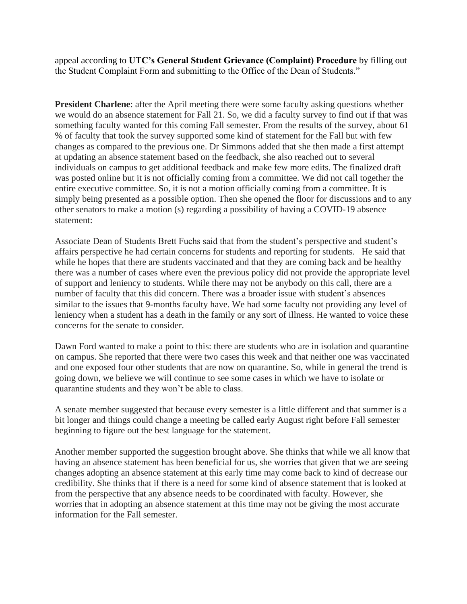appeal according to **UTC's General Student Grievance (Complaint) Procedure** by filling out the Student Complaint Form and submitting to the Office of the Dean of Students."

**President Charlene**: after the April meeting there were some faculty asking questions whether we would do an absence statement for Fall 21. So, we did a faculty survey to find out if that was something faculty wanted for this coming Fall semester. From the results of the survey, about 61 % of faculty that took the survey supported some kind of statement for the Fall but with few changes as compared to the previous one. Dr Simmons added that she then made a first attempt at updating an absence statement based on the feedback, she also reached out to several individuals on campus to get additional feedback and make few more edits. The finalized draft was posted online but it is not officially coming from a committee. We did not call together the entire executive committee. So, it is not a motion officially coming from a committee. It is simply being presented as a possible option. Then she opened the floor for discussions and to any other senators to make a motion (s) regarding a possibility of having a COVID-19 absence statement:

Associate Dean of Students Brett Fuchs said that from the student's perspective and student's affairs perspective he had certain concerns for students and reporting for students. He said that while he hopes that there are students vaccinated and that they are coming back and be healthy there was a number of cases where even the previous policy did not provide the appropriate level of support and leniency to students. While there may not be anybody on this call, there are a number of faculty that this did concern. There was a broader issue with student's absences similar to the issues that 9-months faculty have. We had some faculty not providing any level of leniency when a student has a death in the family or any sort of illness. He wanted to voice these concerns for the senate to consider.

Dawn Ford wanted to make a point to this: there are students who are in isolation and quarantine on campus. She reported that there were two cases this week and that neither one was vaccinated and one exposed four other students that are now on quarantine. So, while in general the trend is going down, we believe we will continue to see some cases in which we have to isolate or quarantine students and they won't be able to class.

A senate member suggested that because every semester is a little different and that summer is a bit longer and things could change a meeting be called early August right before Fall semester beginning to figure out the best language for the statement.

Another member supported the suggestion brought above. She thinks that while we all know that having an absence statement has been beneficial for us, she worries that given that we are seeing changes adopting an absence statement at this early time may come back to kind of decrease our credibility. She thinks that if there is a need for some kind of absence statement that is looked at from the perspective that any absence needs to be coordinated with faculty. However, she worries that in adopting an absence statement at this time may not be giving the most accurate information for the Fall semester.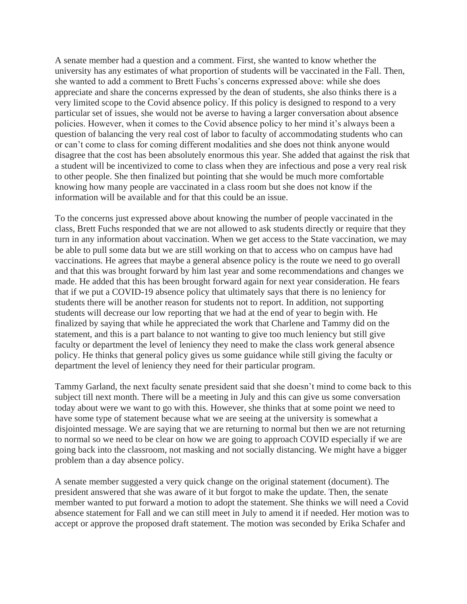A senate member had a question and a comment. First, she wanted to know whether the university has any estimates of what proportion of students will be vaccinated in the Fall. Then, she wanted to add a comment to Brett Fuchs's concerns expressed above: while she does appreciate and share the concerns expressed by the dean of students, she also thinks there is a very limited scope to the Covid absence policy. If this policy is designed to respond to a very particular set of issues, she would not be averse to having a larger conversation about absence policies. However, when it comes to the Covid absence policy to her mind it's always been a question of balancing the very real cost of labor to faculty of accommodating students who can or can't come to class for coming different modalities and she does not think anyone would disagree that the cost has been absolutely enormous this year. She added that against the risk that a student will be incentivized to come to class when they are infectious and pose a very real risk to other people. She then finalized but pointing that she would be much more comfortable knowing how many people are vaccinated in a class room but she does not know if the information will be available and for that this could be an issue.

To the concerns just expressed above about knowing the number of people vaccinated in the class, Brett Fuchs responded that we are not allowed to ask students directly or require that they turn in any information about vaccination. When we get access to the State vaccination, we may be able to pull some data but we are still working on that to access who on campus have had vaccinations. He agrees that maybe a general absence policy is the route we need to go overall and that this was brought forward by him last year and some recommendations and changes we made. He added that this has been brought forward again for next year consideration. He fears that if we put a COVID-19 absence policy that ultimately says that there is no leniency for students there will be another reason for students not to report. In addition, not supporting students will decrease our low reporting that we had at the end of year to begin with. He finalized by saying that while he appreciated the work that Charlene and Tammy did on the statement, and this is a part balance to not wanting to give too much leniency but still give faculty or department the level of leniency they need to make the class work general absence policy. He thinks that general policy gives us some guidance while still giving the faculty or department the level of leniency they need for their particular program.

Tammy Garland, the next faculty senate president said that she doesn't mind to come back to this subject till next month. There will be a meeting in July and this can give us some conversation today about were we want to go with this. However, she thinks that at some point we need to have some type of statement because what we are seeing at the university is somewhat a disjointed message. We are saying that we are returning to normal but then we are not returning to normal so we need to be clear on how we are going to approach COVID especially if we are going back into the classroom, not masking and not socially distancing. We might have a bigger problem than a day absence policy.

A senate member suggested a very quick change on the original statement (document). The president answered that she was aware of it but forgot to make the update. Then, the senate member wanted to put forward a motion to adopt the statement. She thinks we will need a Covid absence statement for Fall and we can still meet in July to amend it if needed. Her motion was to accept or approve the proposed draft statement. The motion was seconded by Erika Schafer and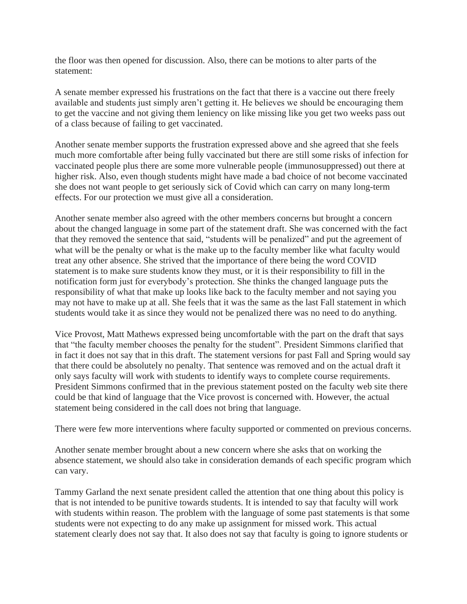the floor was then opened for discussion. Also, there can be motions to alter parts of the statement:

A senate member expressed his frustrations on the fact that there is a vaccine out there freely available and students just simply aren't getting it. He believes we should be encouraging them to get the vaccine and not giving them leniency on like missing like you get two weeks pass out of a class because of failing to get vaccinated.

Another senate member supports the frustration expressed above and she agreed that she feels much more comfortable after being fully vaccinated but there are still some risks of infection for vaccinated people plus there are some more vulnerable people (immunosuppressed) out there at higher risk. Also, even though students might have made a bad choice of not become vaccinated she does not want people to get seriously sick of Covid which can carry on many long-term effects. For our protection we must give all a consideration.

Another senate member also agreed with the other members concerns but brought a concern about the changed language in some part of the statement draft. She was concerned with the fact that they removed the sentence that said, "students will be penalized" and put the agreement of what will be the penalty or what is the make up to the faculty member like what faculty would treat any other absence. She strived that the importance of there being the word COVID statement is to make sure students know they must, or it is their responsibility to fill in the notification form just for everybody's protection. She thinks the changed language puts the responsibility of what that make up looks like back to the faculty member and not saying you may not have to make up at all. She feels that it was the same as the last Fall statement in which students would take it as since they would not be penalized there was no need to do anything.

Vice Provost, Matt Mathews expressed being uncomfortable with the part on the draft that says that "the faculty member chooses the penalty for the student". President Simmons clarified that in fact it does not say that in this draft. The statement versions for past Fall and Spring would say that there could be absolutely no penalty. That sentence was removed and on the actual draft it only says faculty will work with students to identify ways to complete course requirements. President Simmons confirmed that in the previous statement posted on the faculty web site there could be that kind of language that the Vice provost is concerned with. However, the actual statement being considered in the call does not bring that language.

There were few more interventions where faculty supported or commented on previous concerns.

Another senate member brought about a new concern where she asks that on working the absence statement, we should also take in consideration demands of each specific program which can vary.

Tammy Garland the next senate president called the attention that one thing about this policy is that is not intended to be punitive towards students. It is intended to say that faculty will work with students within reason. The problem with the language of some past statements is that some students were not expecting to do any make up assignment for missed work. This actual statement clearly does not say that. It also does not say that faculty is going to ignore students or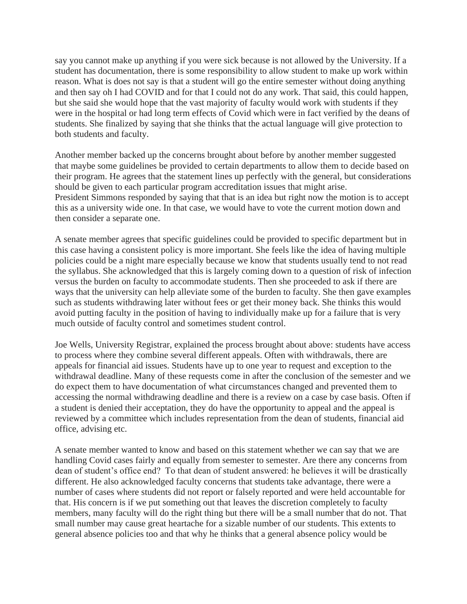say you cannot make up anything if you were sick because is not allowed by the University. If a student has documentation, there is some responsibility to allow student to make up work within reason. What is does not say is that a student will go the entire semester without doing anything and then say oh I had COVID and for that I could not do any work. That said, this could happen, but she said she would hope that the vast majority of faculty would work with students if they were in the hospital or had long term effects of Covid which were in fact verified by the deans of students. She finalized by saying that she thinks that the actual language will give protection to both students and faculty.

Another member backed up the concerns brought about before by another member suggested that maybe some guidelines be provided to certain departments to allow them to decide based on their program. He agrees that the statement lines up perfectly with the general, but considerations should be given to each particular program accreditation issues that might arise. President Simmons responded by saying that that is an idea but right now the motion is to accept this as a university wide one. In that case, we would have to vote the current motion down and then consider a separate one.

A senate member agrees that specific guidelines could be provided to specific department but in this case having a consistent policy is more important. She feels like the idea of having multiple policies could be a night mare especially because we know that students usually tend to not read the syllabus. She acknowledged that this is largely coming down to a question of risk of infection versus the burden on faculty to accommodate students. Then she proceeded to ask if there are ways that the university can help alleviate some of the burden to faculty. She then gave examples such as students withdrawing later without fees or get their money back. She thinks this would avoid putting faculty in the position of having to individually make up for a failure that is very much outside of faculty control and sometimes student control.

Joe Wells, University Registrar, explained the process brought about above: students have access to process where they combine several different appeals. Often with withdrawals, there are appeals for financial aid issues. Students have up to one year to request and exception to the withdrawal deadline. Many of these requests come in after the conclusion of the semester and we do expect them to have documentation of what circumstances changed and prevented them to accessing the normal withdrawing deadline and there is a review on a case by case basis. Often if a student is denied their acceptation, they do have the opportunity to appeal and the appeal is reviewed by a committee which includes representation from the dean of students, financial aid office, advising etc.

A senate member wanted to know and based on this statement whether we can say that we are handling Covid cases fairly and equally from semester to semester. Are there any concerns from dean of student's office end? To that dean of student answered: he believes it will be drastically different. He also acknowledged faculty concerns that students take advantage, there were a number of cases where students did not report or falsely reported and were held accountable for that. His concern is if we put something out that leaves the discretion completely to faculty members, many faculty will do the right thing but there will be a small number that do not. That small number may cause great heartache for a sizable number of our students. This extents to general absence policies too and that why he thinks that a general absence policy would be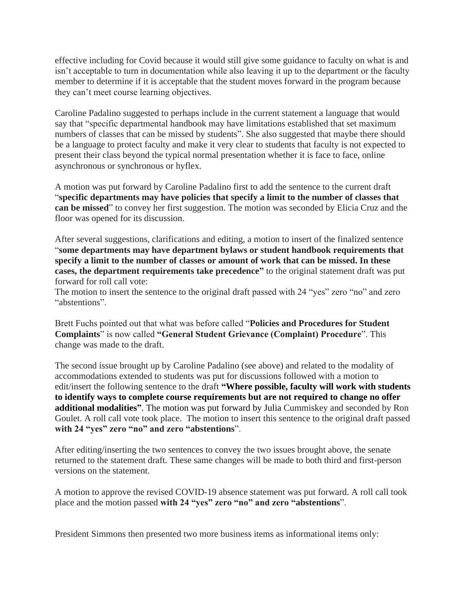effective including for Covid because it would still give some guidance to faculty on what is and isn't acceptable to turn in documentation while also leaving it up to the department or the faculty member to determine if it is acceptable that the student moves forward in the program because they can't meet course learning objectives.

Caroline Padalino suggested to perhaps include in the current statement a language that would say that "specific departmental handbook may have limitations established that set maximum numbers of classes that can be missed by students". She also suggested that maybe there should be a language to protect faculty and make it very clear to students that faculty is not expected to present their class beyond the typical normal presentation whether it is face to face, online asynchronous or synchronous or hyflex.

A motion was put forward by Caroline Padalino first to add the sentence to the current draft "**specific departments may have policies that specify a limit to the number of classes that can be missed**" to convey her first suggestion. The motion was seconded by Elicia Cruz and the floor was opened for its discussion.

After several suggestions, clarifications and editing, a motion to insert of the finalized sentence "**some departments may have department bylaws or student handbook requirements that specify a limit to the number of classes or amount of work that can be missed. In these cases, the department requirements take precedence"** to the original statement draft was put forward for roll call vote:

The motion to insert the sentence to the original draft passed with 24 "yes" zero "no" and zero "abstentions".

Brett Fuchs pointed out that what was before called "**Policies and Procedures for Student Complaints**" is now called **"General Student Grievance (Complaint) Procedure**". This change was made to the draft.

The second issue brought up by Caroline Padalino (see above) and related to the modality of accommodations extended to students was put for discussions followed with a motion to edit/insert the following sentence to the draft **"Where possible, faculty will work with students to identify ways to complete course requirements but are not required to change no offer additional modalities"**. The motion was put forward by Julia Cummiskey and seconded by Ron Goulet. A roll call vote took place. The motion to insert this sentence to the original draft passed **with 24 "yes" zero "no" and zero "abstentions**".

After editing/inserting the two sentences to convey the two issues brought above, the senate returned to the statement draft. These same changes will be made to both third and first-person versions on the statement.

A motion to approve the revised COVID-19 absence statement was put forward. A roll call took place and the motion passed **with 24 "yes" zero "no" and zero "abstentions**".

President Simmons then presented two more business items as informational items only: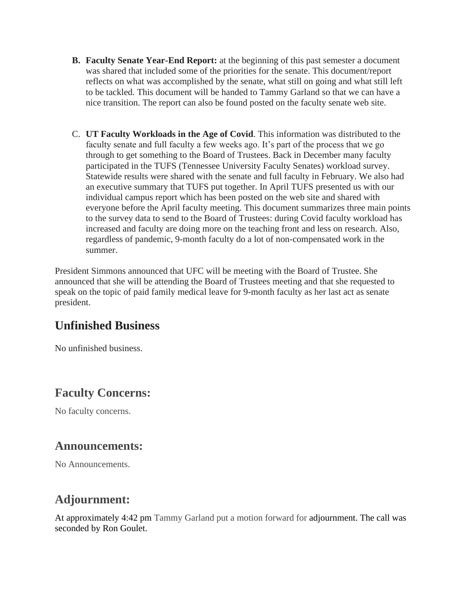- **B. Faculty Senate Year-End Report:** at the beginning of this past semester a document was shared that included some of the priorities for the senate. This document/report reflects on what was accomplished by the senate, what still on going and what still left to be tackled. This document will be handed to Tammy Garland so that we can have a nice transition. The report can also be found posted on the faculty senate web site.
- C. **UT Faculty Workloads in the Age of Covid**. This information was distributed to the faculty senate and full faculty a few weeks ago. It's part of the process that we go through to get something to the Board of Trustees. Back in December many faculty participated in the TUFS (Tennessee University Faculty Senates) workload survey. Statewide results were shared with the senate and full faculty in February. We also had an executive summary that TUFS put together. In April TUFS presented us with our individual campus report which has been posted on the web site and shared with everyone before the April faculty meeting. This document summarizes three main points to the survey data to send to the Board of Trustees: during Covid faculty workload has increased and faculty are doing more on the teaching front and less on research. Also, regardless of pandemic, 9-month faculty do a lot of non-compensated work in the summer.

President Simmons announced that UFC will be meeting with the Board of Trustee. She announced that she will be attending the Board of Trustees meeting and that she requested to speak on the topic of paid family medical leave for 9-month faculty as her last act as senate president.

### **Unfinished Business**

No unfinished business.

## **Faculty Concerns:**

No faculty concerns.

### **Announcements:**

No Announcements.

## **Adjournment:**

At approximately 4:42 pm Tammy Garland put a motion forward for adjournment. The call was seconded by Ron Goulet.